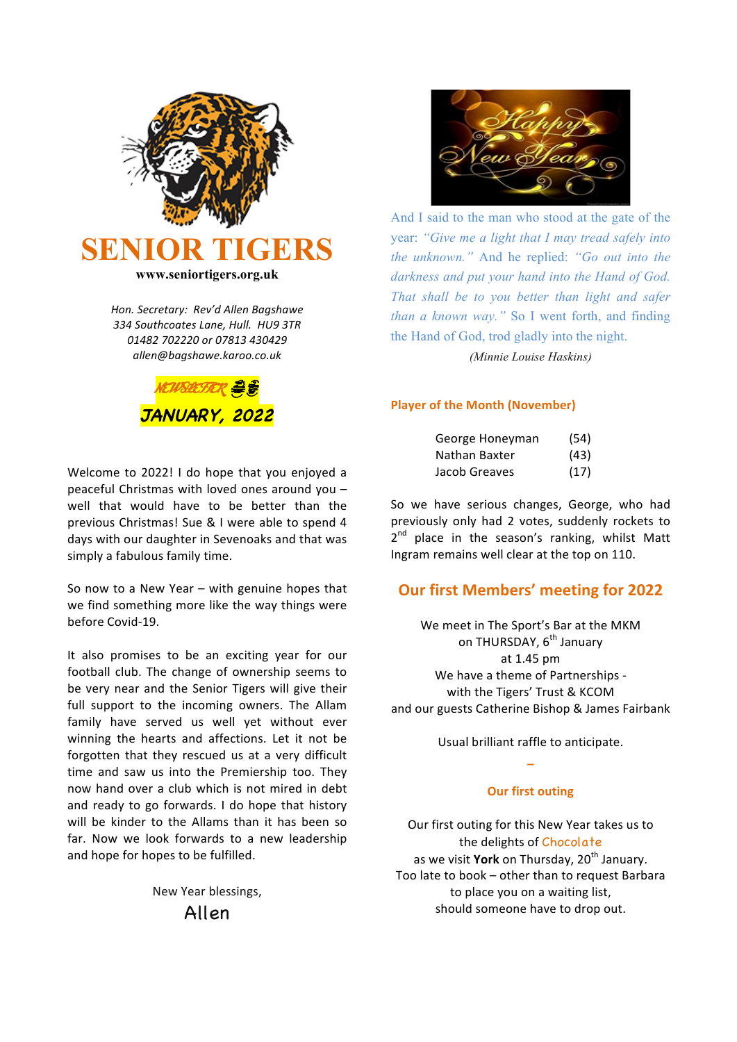

*Hon. Secretary: Rev'd Allen Bagshawe 334 Southcoates Lane, Hull. HU9 3TR 01482 702220 or 07813 430429 allen@bagshawe.karoo.co.uk*



Welcome to 2022! I do hope that you enjoyed a peaceful Christmas with loved ones around you  $$ well that would have to be better than the previous Christmas! Sue & I were able to spend 4 days with our daughter in Sevenoaks and that was simply a fabulous family time.

So now to a New Year  $-$  with genuine hopes that we find something more like the way things were before Covid-19.

It also promises to be an exciting year for our football club. The change of ownership seems to be very near and the Senior Tigers will give their full support to the incoming owners. The Allam family have served us well yet without ever winning the hearts and affections. Let it not be forgotten that they rescued us at a very difficult time and saw us into the Premiership too. They now hand over a club which is not mired in debt and ready to go forwards. I do hope that history will be kinder to the Allams than it has been so far. Now we look forwards to a new leadership and hope for hopes to be fulfilled.

> New Year blessings, Allen



And I said to the man who stood at the gate of the year: *"Give me a light that I may tread safely into the unknown."* And he replied: *"Go out into the darkness and put your hand into the Hand of God. That shall be to you better than light and safer than a known way."* So I went forth, and finding the Hand of God, trod gladly into the night.

*(Minnie Louise Haskins)*

#### **Player of the Month (November)**

| George Honeyman | (54) |  |
|-----------------|------|--|
| Nathan Baxter   | (43) |  |
| Jacob Greaves   | (17) |  |

So we have serious changes, George, who had previously only had 2 votes, suddenly rockets to  $2^{nd}$  place in the season's ranking, whilst Matt Ingram remains well clear at the top on 110.

## **Our first Members' meeting for 2022**

We meet in The Sport's Bar at the MKM on THURSDAY, 6<sup>th</sup> January at 1.45 pm We have a theme of Partnerships with the Tigers' Trust & KCOM and our guests Catherine Bishop & James Fairbank

> Usual brilliant raffle to anticipate. **\_**

## **Our first outing**

Our first outing for this New Year takes us to the delights of Chocolate as we visit York on Thursday, 20<sup>th</sup> January. Too late to book - other than to request Barbara to place you on a waiting list, should someone have to drop out.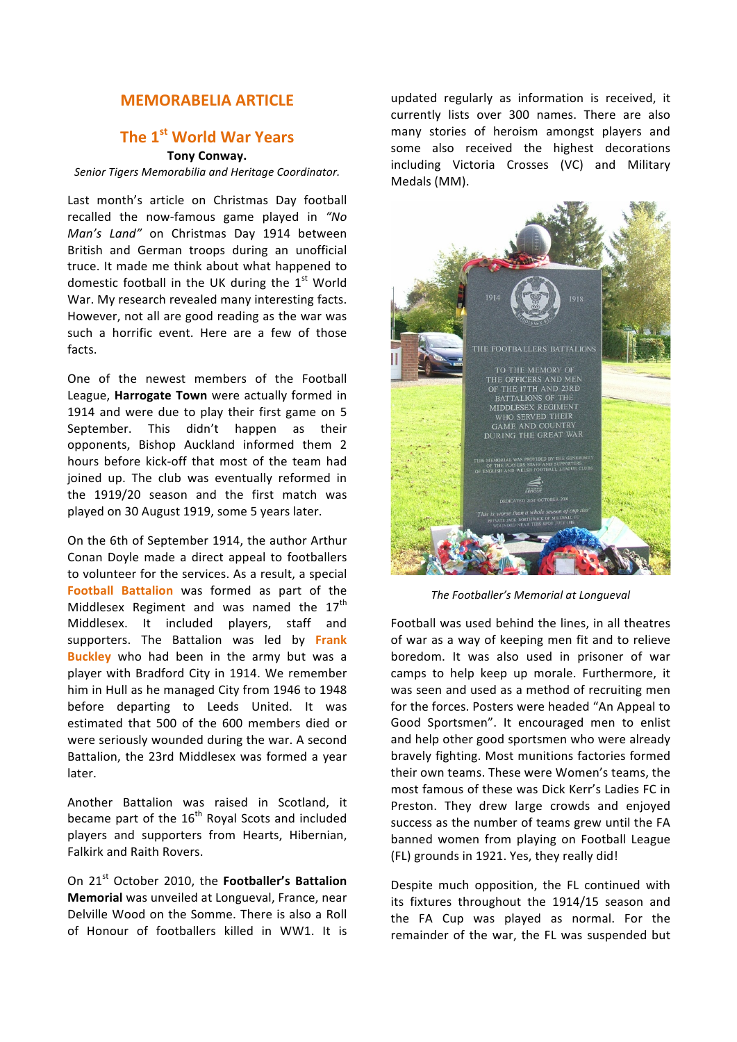## **MEMORABELIA ARTICLE**

# The 1<sup>st</sup> World War Years

## **Tony Conway.**

## Senior Tigers Memorabilia and Heritage Coordinator.

Last month's article on Christmas Day football recalled the now-famous game played in "No *Man's Land"* on Christmas Day 1914 between British and German troops during an unofficial truce. It made me think about what happened to domestic football in the UK during the  $1<sup>st</sup>$  World War. My research revealed many interesting facts. However, not all are good reading as the war was such a horrific event. Here are a few of those facts.

One of the newest members of the Football League, **Harrogate Town** were actually formed in 1914 and were due to play their first game on 5 September. This didn't happen as their opponents, Bishop Auckland informed them 2 hours before kick-off that most of the team had joined up. The club was eventually reformed in the 1919/20 season and the first match was played on 30 August 1919, some 5 years later.

On the 6th of September 1914, the author Arthur Conan Doyle made a direct appeal to footballers to volunteer for the services. As a result, a special **Football Battalion** was formed as part of the Middlesex Regiment and was named the  $17<sup>th</sup>$ Middlesex. It included players, staff and supporters. The Battalion was led by Frank **Buckley** who had been in the army but was a player with Bradford City in 1914. We remember him in Hull as he managed City from 1946 to 1948 before departing to Leeds United. It was estimated that 500 of the 600 members died or were seriously wounded during the war. A second Battalion, the 23rd Middlesex was formed a year later.

Another Battalion was raised in Scotland, it became part of the 16<sup>th</sup> Royal Scots and included players and supporters from Hearts, Hibernian, Falkirk and Raith Rovers.

On 21<sup>st</sup> October 2010, the **Footballer's Battalion Memorial** was unveiled at Longueval, France, near Delville Wood on the Somme. There is also a Roll of Honour of footballers killed in WW1. It is updated regularly as information is received, it currently lists over 300 names. There are also many stories of heroism amongst players and some also received the highest decorations including Victoria Crosses (VC) and Military Medals (MM).



*The Footballer's Memorial at Longueval*

Football was used behind the lines, in all theatres of war as a way of keeping men fit and to relieve boredom. It was also used in prisoner of war camps to help keep up morale. Furthermore, it was seen and used as a method of recruiting men for the forces. Posters were headed "An Appeal to Good Sportsmen". It encouraged men to enlist and help other good sportsmen who were already bravely fighting. Most munitions factories formed their own teams. These were Women's teams, the most famous of these was Dick Kerr's Ladies FC in Preston. They drew large crowds and enjoyed success as the number of teams grew until the FA banned women from playing on Football League (FL) grounds in 1921. Yes, they really did!

Despite much opposition, the FL continued with its fixtures throughout the 1914/15 season and the FA Cup was played as normal. For the remainder of the war, the FL was suspended but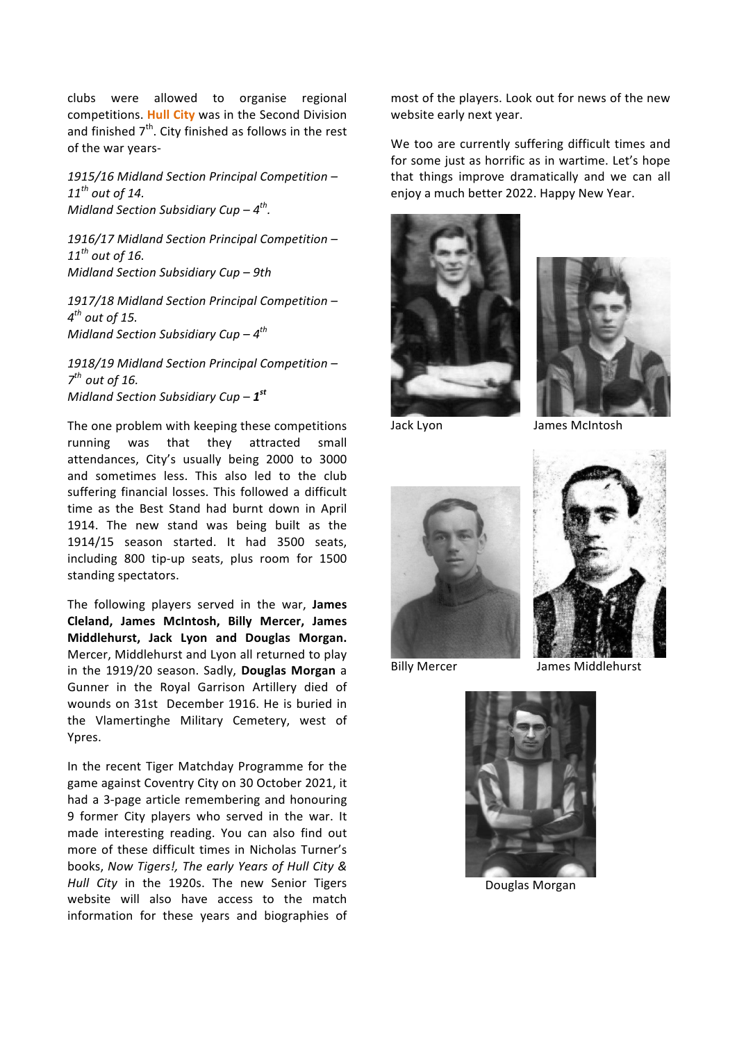clubs were allowed to organise regional competitions. **Hull City** was in the Second Division and finished  $7<sup>th</sup>$ . City finished as follows in the rest of the war years-

*1915/16 Midland Section Principal Competition –*  $11^{th}$  *out of 14.*  $\hspace{2.6cm}$   $\hspace{2.6cm}$   $\hspace{2.6cm}$   $\hspace{2.6cm}$   $\hspace{2.6cm}$   $\hspace{2.6cm}$   $\hspace{2.6cm}$   $\hspace{2.6cm}$   $\hspace{2.6cm}$   $\hspace{2.6cm}$   $\hspace{2.6cm}$   $\hspace{2.6cm}$   $\hspace{2.6cm}$   $\hspace{2.6cm}$   $\hspace{2.6cm}$   $\hspace{2.6cm}$   $\hspace{2.6cm$ *Midland Section Subsidiary Cup* –  $4^{th}$ .

*1916/17 Midland Section Principal Competition –*  $11^{th}$  *out* of 16. *Midland Section Subsidiary Cup* – 9th

*1917/18 Midland Section Principal Competition –*  $4$ <sup>th</sup> out of 15. *Midland Section Subsidiary Cup* –  $4^{th}$ 

*1918/19 Midland Section Principal Competition –*  $7<sup>th</sup>$  out of 16. *Midland Section Subsidiary Cup* –  $1^{st}$ 

The one problem with keeping these competitions running was that they attracted small attendances, City's usually being 2000 to 3000 and sometimes less. This also led to the club suffering financial losses. This followed a difficult time as the Best Stand had burnt down in April 1914. The new stand was being built as the 1914/15 season started. It had 3500 seats, including 800 tip-up seats, plus room for 1500 standing spectators.

The following players served in the war. **James Cleland, James McIntosh, Billy Mercer, James Middlehurst, Jack Lyon and Douglas Morgan.** Mercer, Middlehurst and Lyon all returned to play in the 1919/20 season. Sadly, **Douglas Morgan** a Gunner in the Royal Garrison Artillery died of wounds on 31st December 1916. He is buried in the Vlamertinghe Military Cemetery, west of Ypres.

In the recent Tiger Matchday Programme for the game against Coventry City on 30 October 2021, it had a 3-page article remembering and honouring 9 former City players who served in the war. It made interesting reading. You can also find out more of these difficult times in Nicholas Turner's books, *Now Tigers!, The early Years of Hull City & Hull City* in the 1920s. The new Senior Tigers website will also have access to the match information for these years and biographies of most of the players. Look out for news of the new website early next year.

We too are currently suffering difficult times and for some just as horrific as in wartime. Let's hope that things improve dramatically and we can all





Jack Lyon James McIntosh





Billy Mercer **Billy Mercer** James Middlehurst



 Douglas Morgan